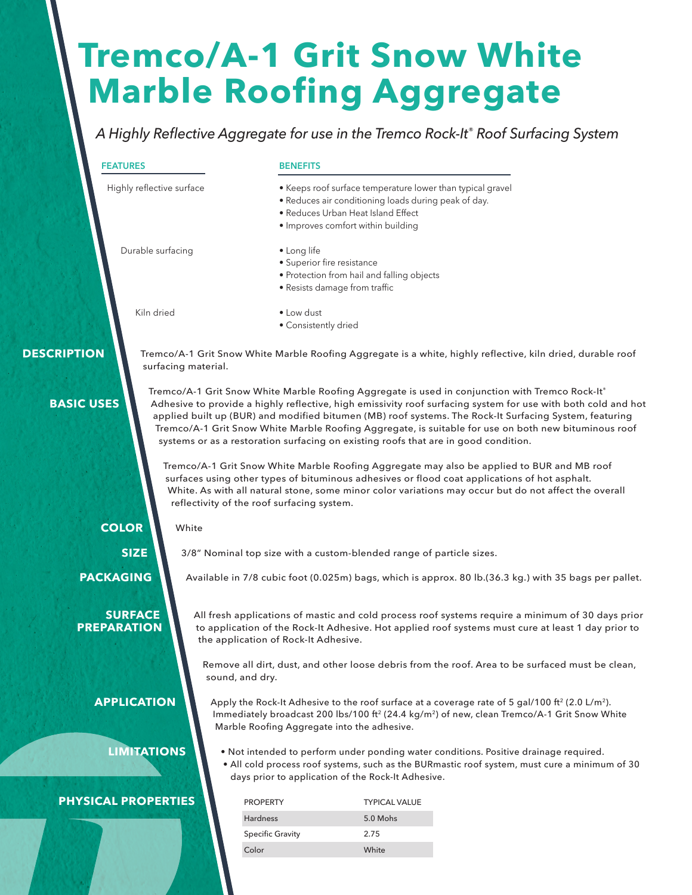## **Tremco/A-1 Grit Snow White Marble Roofing Aggregate**

*A Highly Reflective Aggregate for use in the Tremco Rock-It® Roof Surfacing System*

| ۰. | ۰. |
|----|----|

**DESCRIP** 

## **BENEFITS**

| Highly reflective surface<br>Durable surfacing |                                      |                                                                | • Keeps roof surface temperature lower than typical gravel<br>· Reduces air conditioning loads during peak of day.<br>• Reduces Urban Heat Island Effect<br>· Improves comfort within building |                                                                                                                                                                                                                                                                                                                                                                                                                                                                                                                                                   |
|------------------------------------------------|--------------------------------------|----------------------------------------------------------------|------------------------------------------------------------------------------------------------------------------------------------------------------------------------------------------------|---------------------------------------------------------------------------------------------------------------------------------------------------------------------------------------------------------------------------------------------------------------------------------------------------------------------------------------------------------------------------------------------------------------------------------------------------------------------------------------------------------------------------------------------------|
|                                                |                                      |                                                                | • Long life<br>· Superior fire resistance<br>· Protection from hail and falling objects<br>· Resists damage from traffic                                                                       |                                                                                                                                                                                                                                                                                                                                                                                                                                                                                                                                                   |
|                                                | Kiln dried                           | • Low dust<br>· Consistently dried                             |                                                                                                                                                                                                |                                                                                                                                                                                                                                                                                                                                                                                                                                                                                                                                                   |
| <b>ESCRIPTION</b><br><b>BASIC USES</b>         | surfacing material.                  |                                                                | systems or as a restoration surfacing on existing roofs that are in good condition.                                                                                                            | Tremco/A-1 Grit Snow White Marble Roofing Aggregate is a white, highly reflective, kiln dried, durable roof<br>Tremco/A-1 Grit Snow White Marble Roofing Aggregate is used in conjunction with Tremco Rock-It®<br>Adhesive to provide a highly reflective, high emissivity roof surfacing system for use with both cold and hot<br>applied built up (BUR) and modified bitumen (MB) roof systems. The Rock-It Surfacing System, featuring<br>Tremco/A-1 Grit Snow White Marble Roofing Aggregate, is suitable for use on both new bituminous roof |
|                                                | <b>COLOR</b><br>White                | reflectivity of the roof surfacing system.                     |                                                                                                                                                                                                | Tremco/A-1 Grit Snow White Marble Roofing Aggregate may also be applied to BUR and MB roof<br>surfaces using other types of bituminous adhesives or flood coat applications of hot asphalt.<br>White. As with all natural stone, some minor color variations may occur but do not affect the overall                                                                                                                                                                                                                                              |
| <b>PACKAGING</b>                               | <b>SIZE</b>                          |                                                                | 3/8" Nominal top size with a custom-blended range of particle sizes.                                                                                                                           | Available in 7/8 cubic foot (0.025m) bags, which is approx. 80 lb.(36.3 kg.) with 35 bags per pallet.                                                                                                                                                                                                                                                                                                                                                                                                                                             |
|                                                | <b>SURFACE</b><br><b>PREPARATION</b> | the application of Rock-It Adhesive.                           |                                                                                                                                                                                                | All fresh applications of mastic and cold process roof systems require a minimum of 30 days prior<br>to application of the Rock-It Adhesive. Hot applied roof systems must cure at least 1 day prior to                                                                                                                                                                                                                                                                                                                                           |
|                                                | <b>APPLICATION</b>                   | sound, and dry.<br>Marble Roofing Aggregate into the adhesive. |                                                                                                                                                                                                | Remove all dirt, dust, and other loose debris from the roof. Area to be surfaced must be clean,<br>Apply the Rock-It Adhesive to the roof surface at a coverage rate of 5 gal/100 ft <sup>2</sup> (2.0 L/m <sup>2</sup> ).<br>Immediately broadcast 200 lbs/100 ft <sup>2</sup> (24.4 kg/m <sup>2</sup> ) of new, clean Tremco/A-1 Grit Snow White                                                                                                                                                                                                |
|                                                | <b>LIMITATIONS</b>                   |                                                                | days prior to application of the Rock-It Adhesive.                                                                                                                                             | . Not intended to perform under ponding water conditions. Positive drainage required.<br>• All cold process roof systems, such as the BURmastic roof system, must cure a minimum of 30                                                                                                                                                                                                                                                                                                                                                            |
|                                                | <b>PHYSICAL PROPERTIES</b>           | <b>PROPERTY</b><br>Hardness                                    | <b>TYPICAL VALUE</b><br>5.0 Mohs                                                                                                                                                               |                                                                                                                                                                                                                                                                                                                                                                                                                                                                                                                                                   |
|                                                |                                      |                                                                |                                                                                                                                                                                                |                                                                                                                                                                                                                                                                                                                                                                                                                                                                                                                                                   |

Specific Gravity 2.75 Color White